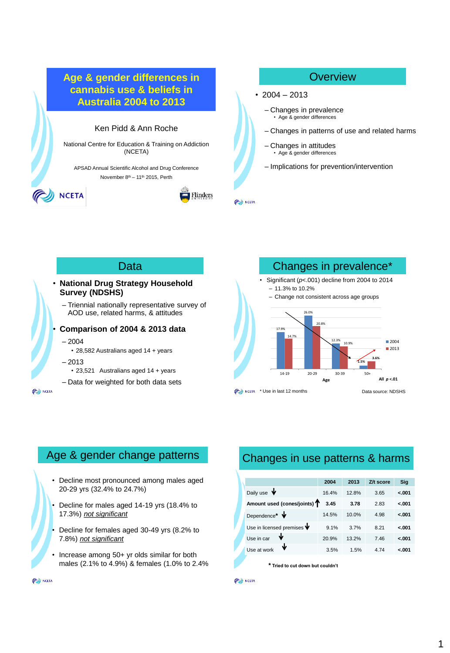

# Data

#### • **National Drug Strategy Household Survey (NDSHS)**

– Triennial nationally representative survey of AOD use, related harms, & attitudes

#### • **Comparison of 2004 & 2013 data**

– 2004

- 28,582 Australians aged 14 + years
- 2013
	- 23,521 Australians aged 14 + years

– Data for weighted for both data sets

**OU NCETA** 



# Age & gender change patterns

- Decline most pronounced among males aged 20-29 yrs (32.4% to 24.7%)
- Decline for males aged 14-19 yrs (18.4% to 17.3%) *not significant*
- Decline for females aged 30-49 yrs (8.2% to 7.8%) *not significant*
- Increase among 50+ yr olds similar for both males (2.1% to 4.9%) & females (1.0% to 2.4%

# Changes in use patterns & harms

|                                          | 2004  | 2013  | Z/t score | Sig     |
|------------------------------------------|-------|-------|-----------|---------|
| Daily use $\blacktriangledown$           | 16.4% | 12.8% | 3.65      | $-.001$ |
| Amount used (cones/joints) T             | 3.45  | 3.78  | 2.83      | $-.001$ |
| Dependence* V                            | 14.5% | 10.0% | 4.98      | $-.001$ |
| Use in licensed premises $\blacklozenge$ | 9.1%  | 3.7%  | 8.21      | $-.001$ |
| ₩<br>Use in car                          | 20.9% | 13.2% | 7.46      | $-.001$ |
| Ψ<br>Use at work                         | 3.5%  | 1.5%  | 4.74      | $-.001$ |

**\* Tried to cut down but couldn't**

#### (C) NCETA

(C) NCETA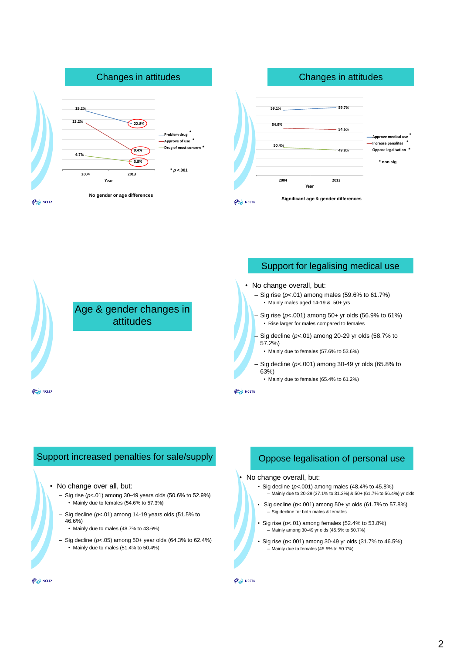





### Support increased penalties for sale/supply

- No change over all, but:
	- Sig rise (*p*<.01) among 30-49 years olds (50.6% to 52.9%) • Mainly due to females (54.6% to 57.3%)
	- Sig decline (*p*<.01) among 14-19 years olds (51.5% to 46.6%)
		- Mainly due to males (48.7% to 43.6%)
	- Sig decline (*p*<.05) among 50+ year olds (64.3% to 62.4%) • Mainly due to males (51.4% to 50.4%)

# Oppose legalisation of personal use

#### • No change overall, but:

- Sig decline (*p*<.001) among males (48.4% to 45.8%) – Mainly due to 20-29 (37.1% to 31.2%) & 50+ (61.7% to 56.4%) yr olds
- Sig decline (*p*<.001) among 50+ yr olds (61.7% to 57.8%) – Sig decline for both males & females
- $\cdot$  Sig rise ( $p$ <.01) among females (52.4% to 53.8%) – Mainly among 30-49 yr olds (45.5% to 50.7%)
- Sig rise (*p*<.001) among 30-49 yr olds (31.7% to 46.5%) – Mainly due to females (45.5% to 50.7%)

**OU NCETA** 

**PO NCETA**